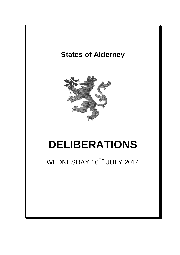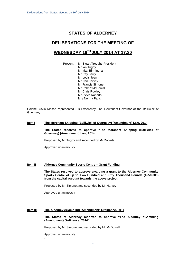## **STATES OF ALDERNEY**

### **DELIBERATIONS FOR THE MEETING OF**

# **WEDNESDAY 16 TH JULY 2014 AT 17:30**

Present: Mr Stuart Trought, President Mr Ian Tugby Mr Matt Birmingham Mr Ray Berry Mr Louis Jean Mr Neil Harvey Mr Francis Simonet Mr Robert McDowall Mr Chris Rowley Mr Steve Roberts Mrs Norma Paris

Colonel Colin Mason represented His Excellency The Lieutenant-Governor of the Bailiwick of Guernsey.

#### **Item I The Merchant Shipping (Bailiwick of Guernsey) (Amendment) Law, 2014**

**The States resolved to approve "The Merchant Shipping (Bailiwick of Guernsey) (Amendment) Law, 2014**

Proposed by Mr Tugby and seconded by Mr Roberts

Approved unanimously

#### **Item II Alderney Community Sports Centre – Grant Funding**

**The States resolved to approve awarding a grant to the Alderney Community Sports Centre of up to Two Hundred and Fifty Thousand Pounds (£250,000) from the capital account towards the above project.**

Proposed by Mr Simonet and seconded by Mr Harvey

Approved unanimously

#### **Item III The Alderney eGambling (Amendment) Ordinance, 2014**

**The States of Alderney resolved to approve "The Alderney eGambling (Amendment) Ordinance, 2014"**

Proposed by Mr Simonet and seconded by Mr McDowall

Approved unanimously

.